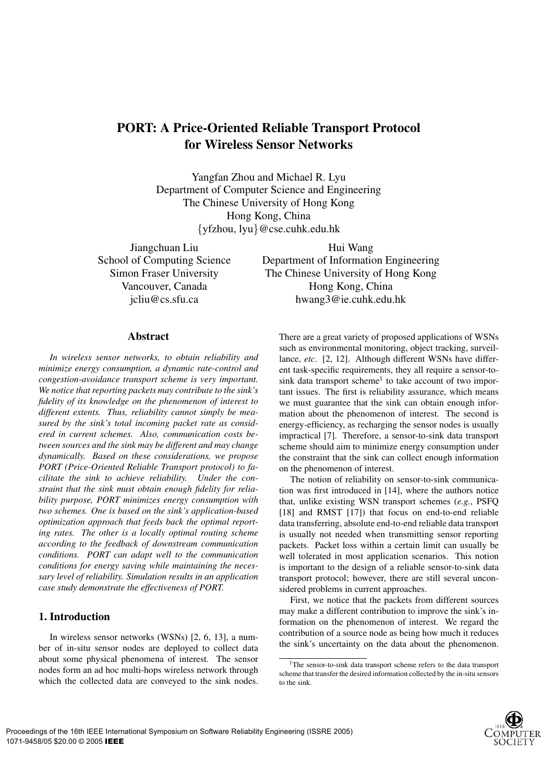# **PORT: A Price-Oriented Reliable Transport Protocol for Wireless Sensor Networks**

Yangfan Zhou and Michael R. Lyu Department of Computer Science and Engineering The Chinese University of Hong Kong Hong Kong, China {yfzhou, lyu}@cse.cuhk.edu.hk

Jiangchuan Liu School of Computing Science Simon Fraser University Vancouver, Canada jcliu@cs.sfu.ca

Hui Wang Department of Information Engineering The Chinese University of Hong Kong Hong Kong, China hwang3@ie.cuhk.edu.hk

## **Abstract**

*In wireless sensor networks, to obtain reliability and minimize energy consumption, a dynamic rate-control and congestion-avoidance transport scheme is very important. We notice that reporting packets may contribute to the sink's fidelity of its knowledge on the phenomenon of interest to different extents. Thus, reliability cannot simply be measured by the sink's total incoming packet rate as considered in current schemes. Also, communication costs between sources and the sink may be different and may change dynamically. Based on these considerations, we propose PORT (Price-Oriented Reliable Transport protocol) to facilitate the sink to achieve reliability. Under the constraint that the sink must obtain enough fidelity for reliability purpose, PORT minimizes energy consumption with two schemes. One is based on the sink's application-based optimization approach that feeds back the optimal reporting rates. The other is a locally optimal routing scheme according to the feedback of downstream communication conditions. PORT can adapt well to the communication conditions for energy saving while maintaining the necessary level of reliability. Simulation results in an application case study demonstrate the effectiveness of PORT.*

## **1. Introduction**

In wireless sensor networks (WSNs) [2, 6, 13], a number of in-situ sensor nodes are deployed to collect data about some physical phenomena of interest. The sensor nodes form an ad hoc multi-hops wireless network through which the collected data are conveyed to the sink nodes.

There are a great variety of proposed applications of WSNs such as environmental monitoring, object tracking, surveillance, *etc*. [2, 12]. Although different WSNs have different task-specific requirements, they all require a sensor-tosink data transport scheme<sup>1</sup> to take account of two important issues. The first is reliability assurance, which means we must guarantee that the sink can obtain enough information about the phenomenon of interest. The second is energy-efficiency, as recharging the sensor nodes is usually impractical [7]. Therefore, a sensor-to-sink data transport scheme should aim to minimize energy consumption under the constraint that the sink can collect enough information on the phenomenon of interest.

The notion of reliability on sensor-to-sink communication was first introduced in [14], where the authors notice that, unlike existing WSN transport schemes (*e.g.*, PSFQ [18] and RMST [17]) that focus on end-to-end reliable data transferring, absolute end-to-end reliable data transport is usually not needed when transmitting sensor reporting packets. Packet loss within a certain limit can usually be well tolerated in most application scenarios. This notion is important to the design of a reliable sensor-to-sink data transport protocol; however, there are still several unconsidered problems in current approaches.

First, we notice that the packets from different sources may make a different contribution to improve the sink's information on the phenomenon of interest. We regard the contribution of a source node as being how much it reduces the sink's uncertainty on the data about the phenomenon.

<sup>&</sup>lt;sup>1</sup>The sensor-to-sink data transport scheme refers to the data transport scheme that transfer the desired information collected by the in-situ sensors to the sink.

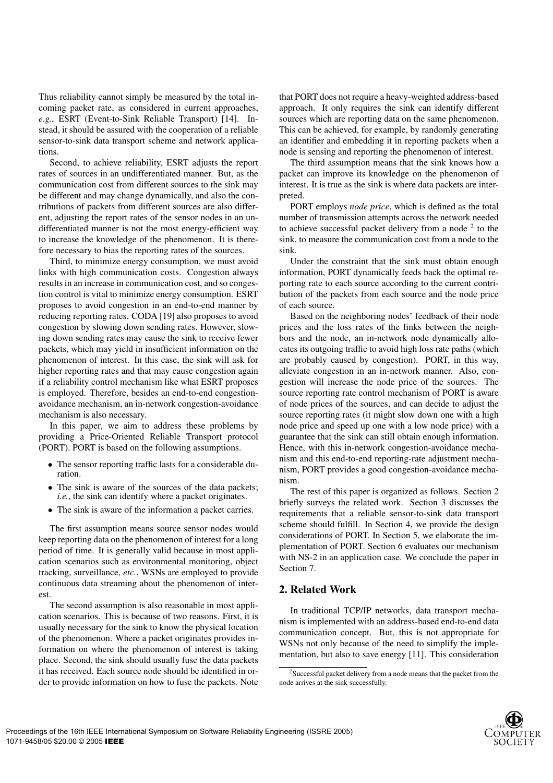Thus reliability cannot simply be measured by the total incoming packet rate, as considered in current approaches, *e.g.*, ESRT (Event-to-Sink Reliable Transport) [14]. Instead, it should be assured with the cooperation of a reliable sensor-to-sink data transport scheme and network applications.

Second, to achieve reliability, ESRT adjusts the report rates of sources in an undifferentiated manner. But, as the communication cost from different sources to the sink may be different and may change dynamically, and also the contributions of packets from different sources are also different, adjusting the report rates of the sensor nodes in an undifferentiated manner is not the most energy-efficient way to increase the knowledge of the phenomenon. It is therefore necessary to bias the reporting rates of the sources.

Third, to minimize energy consumption, we must avoid links with high communication costs. Congestion always results in an increase in communication cost, and so congestion control is vital to minimize energy consumption. ESRT proposes to avoid congestion in an end-to-end manner by reducing reporting rates. CODA [19] also proposes to avoid congestion by slowing down sending rates. However, slowing down sending rates may cause the sink to receive fewer packets, which may yield in insufficient information on the phenomenon of interest. In this case, the sink will ask for higher reporting rates and that may cause congestion again if a reliability control mechanism like what ESRT proposes is employed. Therefore, besides an end-to-end congestionavoidance mechanism, an in-network congestion-avoidance mechanism is also necessary.

In this paper, we aim to address these problems by providing a Price-Oriented Reliable Transport protocol (PORT). PORT is based on the following assumptions.

- The sensor reporting traffic lasts for a considerable duration.
- The sink is aware of the sources of the data packets; *i.e.*, the sink can identify where a packet originates.
- The sink is aware of the information a packet carries.

The first assumption means source sensor nodes would keep reporting data on the phenomenon of interest for a long period of time. It is generally valid because in most application scenarios such as environmental monitoring, object tracking, surveillance, *etc.*, WSNs are employed to provide continuous data streaming about the phenomenon of interest.

The second assumption is also reasonable in most application scenarios. This is because of two reasons. First, it is usually necessary for the sink to know the physical location of the phenomenon. Where a packet originates provides information on where the phenomenon of interest is taking place. Second, the sink should usually fuse the data packets it has received. Each source node should be identified in order to provide information on how to fuse the packets. Note that PORT does not require a heavy-weighted address-based approach. It only requires the sink can identify different sources which are reporting data on the same phenomenon. This can be achieved, for example, by randomly generating an identifier and embedding it in reporting packets when a node is sensing and reporting the phenomenon of interest.

The third assumption means that the sink knows how a packet can improve its knowledge on the phenomenon of interest. It is true as the sink is where data packets are interpreted.

PORT employs *node price*, which is defined as the total number of transmission attempts across the network needed to achieve successful packet delivery from a node <sup>2</sup> to the sink, to measure the communication cost from a node to the sink.

Under the constraint that the sink must obtain enough information, PORT dynamically feeds back the optimal reporting rate to each source according to the current contribution of the packets from each source and the node price of each source.

Based on the neighboring nodes' feedback of their node prices and the loss rates of the links between the neighbors and the node, an in-network node dynamically allocates its outgoing traffic to avoid high loss rate paths (which are probably caused by congestion). PORT, in this way, alleviate congestion in an in-network manner. Also, congestion will increase the node price of the sources. The source reporting rate control mechanism of PORT is aware of node prices of the sources, and can decide to adjust the source reporting rates (it might slow down one with a high node price and speed up one with a low node price) with a guarantee that the sink can still obtain enough information. Hence, with this in-network congestion-avoidance mechanism and this end-to-end reporting-rate adjustment mechanism, PORT provides a good congestion-avoidance mechanism.

The rest of this paper is organized as follows. Section 2 briefly surveys the related work. Section 3 discusses the requirements that a reliable sensor-to-sink data transport scheme should fulfill. In Section 4, we provide the design considerations of PORT. In Section 5, we elaborate the implementation of PORT. Section 6 evaluates our mechanism with NS-2 in an application case. We conclude the paper in Section 7.

## **2. Related Work**

In traditional TCP/IP networks, data transport mechanism is implemented with an address-based end-to-end data communication concept. But, this is not appropriate for WSNs not only because of the need to simplify the implementation, but also to save energy [11]. This consideration



<sup>2</sup>Successful packet delivery from a node means that the packet from the node arrives at the sink successfully.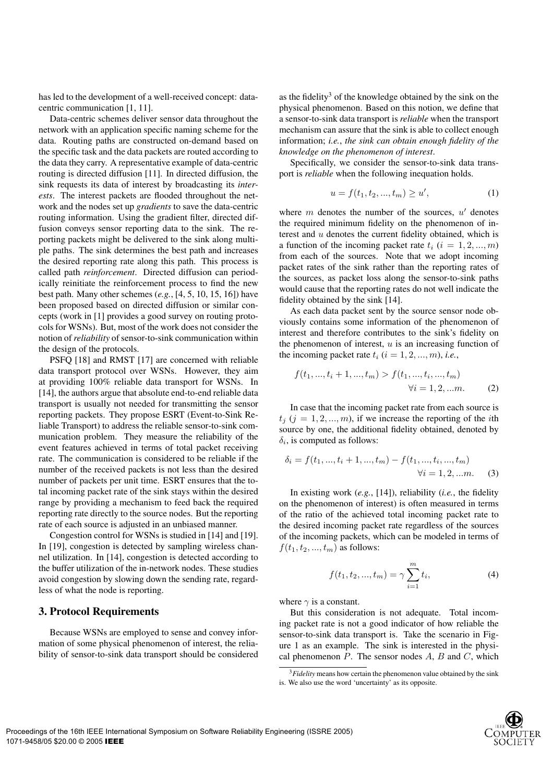has led to the development of a well-received concept: datacentric communication [1, 11].

Data-centric schemes deliver sensor data throughout the network with an application specific naming scheme for the data. Routing paths are constructed on-demand based on the specific task and the data packets are routed according to the data they carry. A representative example of data-centric routing is directed diffusion [11]. In directed diffusion, the sink requests its data of interest by broadcasting its *interests*. The interest packets are flooded throughout the network and the nodes set up *gradients* to save the data-centric routing information. Using the gradient filter, directed diffusion conveys sensor reporting data to the sink. The reporting packets might be delivered to the sink along multiple paths. The sink determines the best path and increases the desired reporting rate along this path. This process is called path *reinforcement*. Directed diffusion can periodically reinitiate the reinforcement process to find the new best path. Many other schemes (*e.g.*, [4, 5, 10, 15, 16]) have been proposed based on directed diffusion or similar concepts (work in [1] provides a good survey on routing protocols for WSNs). But, most of the work does not consider the notion of*reliability* of sensor-to-sink communication within the design of the protocols.

PSFQ [18] and RMST [17] are concerned with reliable data transport protocol over WSNs. However, they aim at providing 100% reliable data transport for WSNs. In [14], the authors argue that absolute end-to-end reliable data transport is usually not needed for transmitting the sensor reporting packets. They propose ESRT (Event-to-Sink Reliable Transport) to address the reliable sensor-to-sink communication problem. They measure the reliability of the event features achieved in terms of total packet receiving rate. The communication is considered to be reliable if the number of the received packets is not less than the desired number of packets per unit time. ESRT ensures that the total incoming packet rate of the sink stays within the desired range by providing a mechanism to feed back the required reporting rate directly to the source nodes. But the reporting rate of each source is adjusted in an unbiased manner.

Congestion control for WSNs is studied in [14] and [19]. In [19], congestion is detected by sampling wireless channel utilization. In [14], congestion is detected according to the buffer utilization of the in-network nodes. These studies avoid congestion by slowing down the sending rate, regardless of what the node is reporting.

## **3. Protocol Requirements**

Because WSNs are employed to sense and convey information of some physical phenomenon of interest, the reliability of sensor-to-sink data transport should be considered as the fidelity<sup>3</sup> of the knowledge obtained by the sink on the physical phenomenon. Based on this notion, we define that a sensor-to-sink data transport is *reliable* when the transport mechanism can assure that the sink is able to collect enough information; *i.e.*, *the sink can obtain enough fidelity of the knowledge on the phenomenon of interest*.

Specifically, we consider the sensor-to-sink data transport is *reliable* when the following inequation holds.

$$
u = f(t_1, t_2, ..., t_m) \ge u', \tag{1}
$$

where  $m$  denotes the number of the sources,  $u'$  denotes the required minimum fidelity on the phenomenon of interest and u denotes the current fidelity obtained, which is a function of the incoming packet rate  $t_i$  ( $i = 1, 2, ..., m$ ) from each of the sources. Note that we adopt incoming packet rates of the sink rather than the reporting rates of the sources, as packet loss along the sensor-to-sink paths would cause that the reporting rates do not well indicate the fidelity obtained by the sink [14].

As each data packet sent by the source sensor node obviously contains some information of the phenomenon of interest and therefore contributes to the sink's fidelity on the phenomenon of interest,  $u$  is an increasing function of the incoming packet rate  $t_i$  ( $i = 1, 2, ..., m$ ), *i.e.*,

$$
f(t_1, ..., t_i + 1, ..., t_m) > f(t_1, ..., t_i, ..., t_m)
$$
  

$$
\forall i = 1, 2, ..., m.
$$
 (2)

In case that the incoming packet rate from each source is  $t_i$  ( $j = 1, 2, ..., m$ ), if we increase the reporting of the *i*th source by one, the additional fidelity obtained, denoted by  $\delta_i$ , is computed as follows:

$$
\delta_i = f(t_1, ..., t_i + 1, ..., t_m) - f(t_1, ..., t_i, ..., t_m)
$$
  

$$
\forall i = 1, 2, ..., m. \tag{3}
$$

In existing work (*e.g.*, [14]), reliability (*i.e.*, the fidelity on the phenomenon of interest) is often measured in terms of the ratio of the achieved total incoming packet rate to the desired incoming packet rate regardless of the sources of the incoming packets, which can be modeled in terms of  $f(t_1, t_2, ..., t_m)$  as follows:

$$
f(t_1, t_2, ..., t_m) = \gamma \sum_{i=1}^{m} t_i,
$$
 (4)

where  $\gamma$  is a constant.

But this consideration is not adequate. Total incoming packet rate is not a good indicator of how reliable the sensor-to-sink data transport is. Take the scenario in Figure 1 as an example. The sink is interested in the physical phenomenon  $P$ . The sensor nodes  $A$ ,  $B$  and  $C$ , which



<sup>&</sup>lt;sup>3</sup>*Fidelity* means how certain the phenomenon value obtained by the sink is. We also use the word 'uncertainty' as its opposite.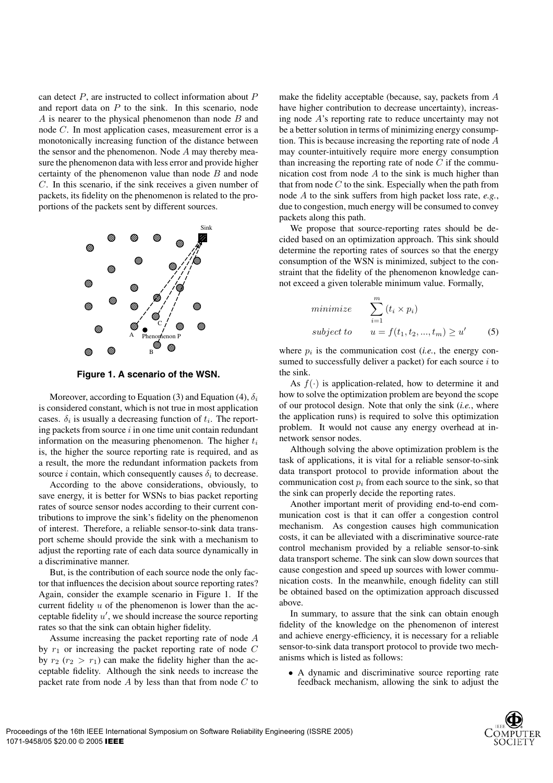can detect  $P$ , are instructed to collect information about  $P$ and report data on  $P$  to the sink. In this scenario, node A is nearer to the physical phenomenon than node B and node C. In most application cases, measurement error is a monotonically increasing function of the distance between the sensor and the phenomenon. Node A may thereby measure the phenomenon data with less error and provide higher certainty of the phenomenon value than node  $B$  and node C. In this scenario, if the sink receives a given number of packets, its fidelity on the phenomenon is related to the proportions of the packets sent by different sources.



**Figure 1. A scenario of the WSN.**

Moreover, according to Equation (3) and Equation (4),  $\delta_i$ is considered constant, which is not true in most application cases.  $\delta_i$  is usually a decreasing function of  $t_i$ . The reporting packets from source  $i$  in one time unit contain redundant information on the measuring phenomenon. The higher  $t_i$ is, the higher the source reporting rate is required, and as a result, the more the redundant information packets from source *i* contain, which consequently causes  $\delta_i$  to decrease.

According to the above considerations, obviously, to save energy, it is better for WSNs to bias packet reporting rates of source sensor nodes according to their current contributions to improve the sink's fidelity on the phenomenon of interest. Therefore, a reliable sensor-to-sink data transport scheme should provide the sink with a mechanism to adjust the reporting rate of each data source dynamically in a discriminative manner.

But, is the contribution of each source node the only factor that influences the decision about source reporting rates? Again, consider the example scenario in Figure 1. If the current fidelity  $u$  of the phenomenon is lower than the acceptable fidelity  $u'$ , we should increase the source reporting rates so that the sink can obtain higher fidelity.

Assume increasing the packet reporting rate of node A by  $r_1$  or increasing the packet reporting rate of node C by  $r_2$  ( $r_2 > r_1$ ) can make the fidelity higher than the acceptable fidelity. Although the sink needs to increase the packet rate from node  $A$  by less than that from node  $C$  to make the fidelity acceptable (because, say, packets from A have higher contribution to decrease uncertainty), increasing node A's reporting rate to reduce uncertainty may not be a better solution in terms of minimizing energy consumption. This is because increasing the reporting rate of node A may counter-intuitively require more energy consumption than increasing the reporting rate of node  $C$  if the communication cost from node  $A$  to the sink is much higher than that from node  $C$  to the sink. Especially when the path from node A to the sink suffers from high packet loss rate, *e.g.*, due to congestion, much energy will be consumed to convey packets along this path.

We propose that source-reporting rates should be decided based on an optimization approach. This sink should determine the reporting rates of sources so that the energy consumption of the WSN is minimized, subject to the constraint that the fidelity of the phenomenon knowledge cannot exceed a given tolerable minimum value. Formally,

$$
\begin{aligned}\n\text{minimize} & \sum_{i=1}^{m} (t_i \times p_i) \\
\text{subject to} & u = f(t_1, t_2, ..., t_m) \ge u' \qquad (5)\n\end{aligned}
$$

where  $p_i$  is the communication cost (*i.e.*, the energy consumed to successfully deliver a packet) for each source  $i$  to the sink.

As  $f(\cdot)$  is application-related, how to determine it and how to solve the optimization problem are beyond the scope of our protocol design. Note that only the sink (*i.e.*, where the application runs) is required to solve this optimization problem. It would not cause any energy overhead at innetwork sensor nodes.

Although solving the above optimization problem is the task of applications, it is vital for a reliable sensor-to-sink data transport protocol to provide information about the communication cost  $p_i$  from each source to the sink, so that the sink can properly decide the reporting rates.

Another important merit of providing end-to-end communication cost is that it can offer a congestion control mechanism. As congestion causes high communication costs, it can be alleviated with a discriminative source-rate control mechanism provided by a reliable sensor-to-sink data transport scheme. The sink can slow down sources that cause congestion and speed up sources with lower communication costs. In the meanwhile, enough fidelity can still be obtained based on the optimization approach discussed above.

In summary, to assure that the sink can obtain enough fidelity of the knowledge on the phenomenon of interest and achieve energy-efficiency, it is necessary for a reliable sensor-to-sink data transport protocol to provide two mechanisms which is listed as follows:

• A dynamic and discriminative source reporting rate feedback mechanism, allowing the sink to adjust the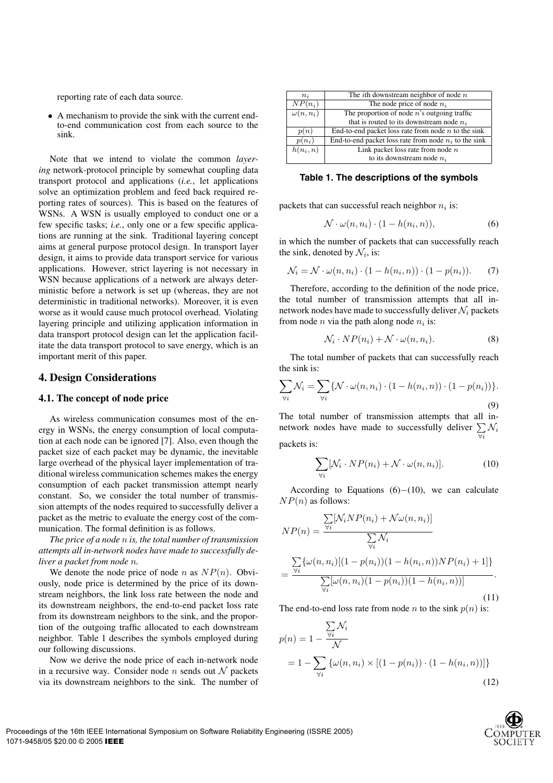reporting rate of each data source.

• A mechanism to provide the sink with the current endto-end communication cost from each source to the sink.

Note that we intend to violate the common *layering* network-protocol principle by somewhat coupling data transport protocol and applications (*i.e.*, let applications solve an optimization problem and feed back required reporting rates of sources). This is based on the features of WSNs. A WSN is usually employed to conduct one or a few specific tasks; *i.e.*, only one or a few specific applications are running at the sink. Traditional layering concept aims at general purpose protocol design. In transport layer design, it aims to provide data transport service for various applications. However, strict layering is not necessary in WSN because applications of a network are always deterministic before a network is set up (whereas, they are not deterministic in traditional networks). Moreover, it is even worse as it would cause much protocol overhead. Violating layering principle and utilizing application information in data transport protocol design can let the application facilitate the data transport protocol to save energy, which is an important merit of this paper.

#### **4. Design Considerations**

#### **4.1. The concept of node price**

As wireless communication consumes most of the energy in WSNs, the energy consumption of local computation at each node can be ignored [7]. Also, even though the packet size of each packet may be dynamic, the inevitable large overhead of the physical layer implementation of traditional wireless communication schemes makes the energy consumption of each packet transmission attempt nearly constant. So, we consider the total number of transmission attempts of the nodes required to successfully deliver a packet as the metric to evaluate the energy cost of the communication. The formal definition is as follows.

*The price of a node* n *is, the total number of transmission attempts all in-network nodes have made to successfully deliver a packet from node* n*.*

We denote the node price of node n as  $NP(n)$ . Obviously, node price is determined by the price of its downstream neighbors, the link loss rate between the node and its downstream neighbors, the end-to-end packet loss rate from its downstream neighbors to the sink, and the proportion of the outgoing traffic allocated to each downstream neighbor. Table 1 describes the symbols employed during our following discussions.

Now we derive the node price of each in-network node in a recursive way. Consider node n sends out  $N$  packets via its downstream neighbors to the sink. The number of

| The <i>i</i> th downstream neighbor of node $n$         |
|---------------------------------------------------------|
| The node price of node $n_i$                            |
| The proportion of node $n$ 's outgoing traffic          |
| that is routed to its downstream node $n_i$             |
| End-to-end packet loss rate from node $n$ to the sink   |
| End-to-end packet loss rate from node $n_i$ to the sink |
| Link packet loss rate from node $n$                     |
| to its downstream node $n_i$                            |
|                                                         |

**Table 1. The descriptions of the symbols**

packets that can successful reach neighbor  $n_i$  is:

$$
\mathcal{N} \cdot \omega(n, n_i) \cdot (1 - h(n_i, n)), \tag{6}
$$

in which the number of packets that can successfully reach the sink, denoted by  $\mathcal{N}_i$ , is:

$$
\mathcal{N}_i = \mathcal{N} \cdot \omega(n, n_i) \cdot (1 - h(n_i, n)) \cdot (1 - p(n_i)). \tag{7}
$$

Therefore, according to the definition of the node price, the total number of transmission attempts that all innetwork nodes have made to successfully deliver  $\mathcal{N}_i$  packets from node *n* via the path along node  $n_i$  is:

$$
\mathcal{N}_i \cdot NP(n_i) + \mathcal{N} \cdot \omega(n, n_i). \tag{8}
$$

The total number of packets that can successfully reach the sink is:

$$
\sum_{\forall i} \mathcal{N}_i = \sum_{\forall i} \{ \mathcal{N} \cdot \omega(n, n_i) \cdot (1 - h(n_i, n)) \cdot (1 - p(n_i)) \}.
$$
\n(9)

The total number of transmission attempts that all innetwork nodes have made to successfully deliver  $\sum_{\forall i} \mathcal{N}_i$  $\triangledown i$ packets is:

$$
\sum_{\forall i} [\mathcal{N}_i \cdot NP(n_i) + \mathcal{N} \cdot \omega(n, n_i)]. \tag{10}
$$

According to Equations  $(6)$ −(10), we can calculate  $NP(n)$  as follows:

$$
NP(n) = \frac{\sum_{\forall i} [\mathcal{N}_i NP(n_i) + \mathcal{N}\omega(n, n_i)]}{\sum_{\forall i} \mathcal{N}_i}
$$
  
= 
$$
\frac{\sum_{\forall i} {\{\omega(n, n_i) [(1 - p(n_i)) (1 - h(n_i, n)) NP(n_i) + 1] \}}}{\sum_{\forall i} [\omega(n, n_i) (1 - p(n_i)) (1 - h(n_i, n))]}.
$$
(11)

The end-to-end loss rate from node *n* to the sink  $p(n)$  is:

$$
p(n) = 1 - \frac{\sum_{\forall i} \mathcal{N}_i}{\mathcal{N}}
$$
  
= 1 -  $\sum_{\forall i} {\{\omega(n, n_i) \times [(1 - p(n_i)) \cdot (1 - h(n_i, n))]\}}$  (12)

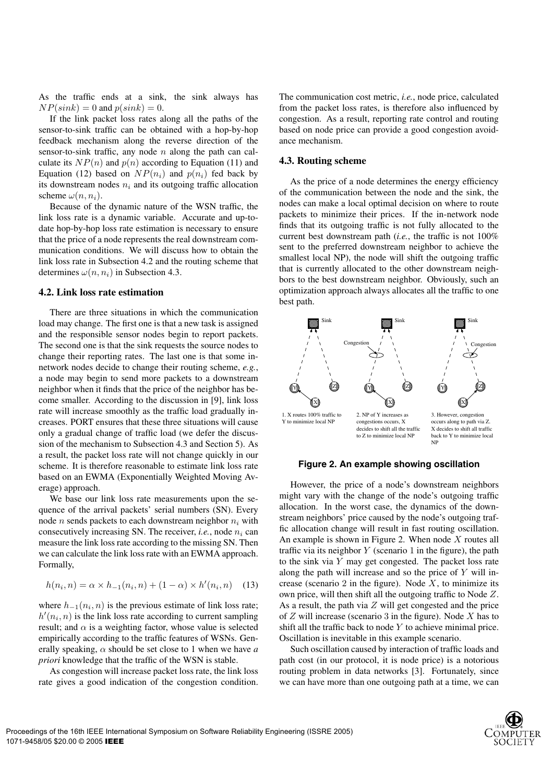As the traffic ends at a sink, the sink always has  $NP(sink)=0$  and  $p(sink)=0$ .

If the link packet loss rates along all the paths of the sensor-to-sink traffic can be obtained with a hop-by-hop feedback mechanism along the reverse direction of the sensor-to-sink traffic, any node  $n$  along the path can calculate its  $NP(n)$  and  $p(n)$  according to Equation (11) and Equation (12) based on  $NP(n_i)$  and  $p(n_i)$  fed back by its downstream nodes  $n_i$  and its outgoing traffic allocation scheme  $\omega(n, n_i)$ .

Because of the dynamic nature of the WSN traffic, the link loss rate is a dynamic variable. Accurate and up-todate hop-by-hop loss rate estimation is necessary to ensure that the price of a node represents the real downstream communication conditions. We will discuss how to obtain the link loss rate in Subsection 4.2 and the routing scheme that determines  $\omega(n, n_i)$  in Subsection 4.3.

#### **4.2. Link loss rate estimation**

There are three situations in which the communication load may change. The first one is that a new task is assigned and the responsible sensor nodes begin to report packets. The second one is that the sink requests the source nodes to change their reporting rates. The last one is that some innetwork nodes decide to change their routing scheme, *e.g.*, a node may begin to send more packets to a downstream neighbor when it finds that the price of the neighbor has become smaller. According to the discussion in [9], link loss rate will increase smoothly as the traffic load gradually increases. PORT ensures that these three situations will cause only a gradual change of traffic load (we defer the discussion of the mechanism to Subsection 4.3 and Section 5). As a result, the packet loss rate will not change quickly in our scheme. It is therefore reasonable to estimate link loss rate based on an EWMA (Exponentially Weighted Moving Average) approach.

We base our link loss rate measurements upon the sequence of the arrival packets' serial numbers (SN). Every node *n* sends packets to each downstream neighbor  $n_i$  with consecutively increasing SN. The receiver, *i.e.*, node  $n_i$  can measure the link loss rate according to the missing SN. Then we can calculate the link loss rate with an EWMA approach. Formally,

$$
h(n_i, n) = \alpha \times h_{-1}(n_i, n) + (1 - \alpha) \times h'(n_i, n) \quad (13)
$$

where  $h_{-1}(n_i, n)$  is the previous estimate of link loss rate;  $h'(n_i, n)$  is the link loss rate according to current sampling<br>results and a is a weighting factor, whose value is selected result; and  $\alpha$  is a weighting factor, whose value is selected empirically according to the traffic features of WSNs. Generally speaking,  $\alpha$  should be set close to 1 when we have *a priori* knowledge that the traffic of the WSN is stable.

As congestion will increase packet loss rate, the link loss rate gives a good indication of the congestion condition. The communication cost metric, *i.e.*, node price, calculated from the packet loss rates, is therefore also influenced by congestion. As a result, reporting rate control and routing based on node price can provide a good congestion avoidance mechanism.

#### **4.3. Routing scheme**

As the price of a node determines the energy efficiency of the communication between the node and the sink, the nodes can make a local optimal decision on where to route packets to minimize their prices. If the in-network node finds that its outgoing traffic is not fully allocated to the current best downstream path (*i.e.*, the traffic is not 100% sent to the preferred downstream neighbor to achieve the smallest local NP), the node will shift the outgoing traffic that is currently allocated to the other downstream neighbors to the best downstream neighbor. Obviously, such an optimization approach always allocates all the traffic to one best path.



#### **Figure 2. An example showing oscillation**

However, the price of a node's downstream neighbors might vary with the change of the node's outgoing traffic allocation. In the worst case, the dynamics of the downstream neighbors' price caused by the node's outgoing traffic allocation change will result in fast routing oscillation. An example is shown in Figure 2. When node  $X$  routes all traffic via its neighbor  $Y$  (scenario 1 in the figure), the path to the sink via Y may get congested. The packet loss rate along the path will increase and so the price of  $Y$  will increase (scenario 2 in the figure). Node  $X$ , to minimize its own price, will then shift all the outgoing traffic to Node Z. As a result, the path via  $Z$  will get congested and the price of  $Z$  will increase (scenario 3 in the figure). Node  $X$  has to shift all the traffic back to node  $Y$  to achieve minimal price. Oscillation is inevitable in this example scenario.

Such oscillation caused by interaction of traffic loads and path cost (in our protocol, it is node price) is a notorious routing problem in data networks [3]. Fortunately, since we can have more than one outgoing path at a time, we can

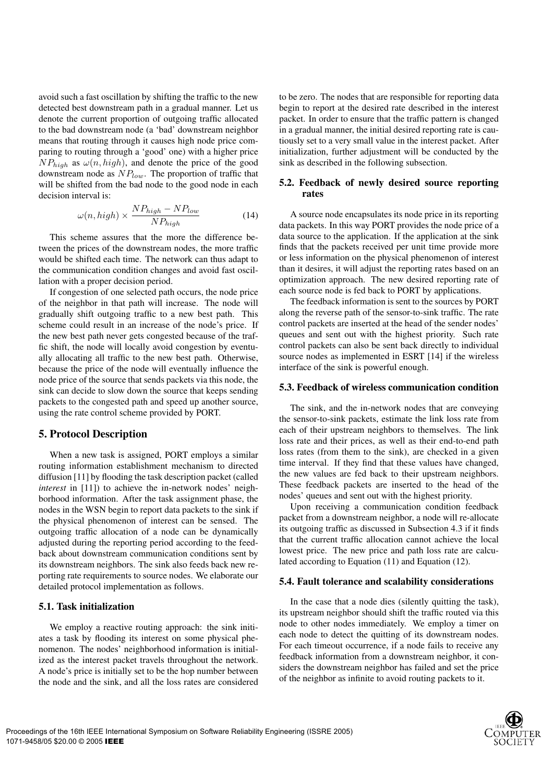avoid such a fast oscillation by shifting the traffic to the new detected best downstream path in a gradual manner. Let us denote the current proportion of outgoing traffic allocated to the bad downstream node (a 'bad' downstream neighbor means that routing through it causes high node price comparing to routing through a 'good' one) with a higher price  $NP_{high}$  as  $\omega(n, high)$ , and denote the price of the good downstream node as  $NP_{low}$ . The proportion of traffic that will be shifted from the bad node to the good node in each decision interval is:

$$
\omega(n, high) \times \frac{NP_{high} - NP_{low}}{NP_{high}} \tag{14}
$$

This scheme assures that the more the difference between the prices of the downstream nodes, the more traffic would be shifted each time. The network can thus adapt to the communication condition changes and avoid fast oscillation with a proper decision period.

If congestion of one selected path occurs, the node price of the neighbor in that path will increase. The node will gradually shift outgoing traffic to a new best path. This scheme could result in an increase of the node's price. If the new best path never gets congested because of the traffic shift, the node will locally avoid congestion by eventually allocating all traffic to the new best path. Otherwise, because the price of the node will eventually influence the node price of the source that sends packets via this node, the sink can decide to slow down the source that keeps sending packets to the congested path and speed up another source, using the rate control scheme provided by PORT.

#### **5. Protocol Description**

When a new task is assigned, PORT employs a similar routing information establishment mechanism to directed diffusion [11] by flooding the task description packet (called *interest* in [11]) to achieve the in-network nodes' neighborhood information. After the task assignment phase, the nodes in the WSN begin to report data packets to the sink if the physical phenomenon of interest can be sensed. The outgoing traffic allocation of a node can be dynamically adjusted during the reporting period according to the feedback about downstream communication conditions sent by its downstream neighbors. The sink also feeds back new reporting rate requirements to source nodes. We elaborate our detailed protocol implementation as follows.

## **5.1. Task initialization**

We employ a reactive routing approach: the sink initiates a task by flooding its interest on some physical phenomenon. The nodes' neighborhood information is initialized as the interest packet travels throughout the network. A node's price is initially set to be the hop number between the node and the sink, and all the loss rates are considered

to be zero. The nodes that are responsible for reporting data begin to report at the desired rate described in the interest packet. In order to ensure that the traffic pattern is changed in a gradual manner, the initial desired reporting rate is cautiously set to a very small value in the interest packet. After initialization, further adjustment will be conducted by the sink as described in the following subsection.

## **5.2. Feedback of newly desired source reporting rates**

A source node encapsulates its node price in its reporting data packets. In this way PORT provides the node price of a data source to the application. If the application at the sink finds that the packets received per unit time provide more or less information on the physical phenomenon of interest than it desires, it will adjust the reporting rates based on an optimization approach. The new desired reporting rate of each source node is fed back to PORT by applications.

The feedback information is sent to the sources by PORT along the reverse path of the sensor-to-sink traffic. The rate control packets are inserted at the head of the sender nodes' queues and sent out with the highest priority. Such rate control packets can also be sent back directly to individual source nodes as implemented in ESRT [14] if the wireless interface of the sink is powerful enough.

#### **5.3. Feedback of wireless communication condition**

The sink, and the in-network nodes that are conveying the sensor-to-sink packets, estimate the link loss rate from each of their upstream neighbors to themselves. The link loss rate and their prices, as well as their end-to-end path loss rates (from them to the sink), are checked in a given time interval. If they find that these values have changed, the new values are fed back to their upstream neighbors. These feedback packets are inserted to the head of the nodes' queues and sent out with the highest priority.

Upon receiving a communication condition feedback packet from a downstream neighbor, a node will re-allocate its outgoing traffic as discussed in Subsection 4.3 if it finds that the current traffic allocation cannot achieve the local lowest price. The new price and path loss rate are calculated according to Equation (11) and Equation (12).

#### **5.4. Fault tolerance and scalability considerations**

In the case that a node dies (silently quitting the task), its upstream neighbor should shift the traffic routed via this node to other nodes immediately. We employ a timer on each node to detect the quitting of its downstream nodes. For each timeout occurrence, if a node fails to receive any feedback information from a downstream neighbor, it considers the downstream neighbor has failed and set the price of the neighbor as infinite to avoid routing packets to it.

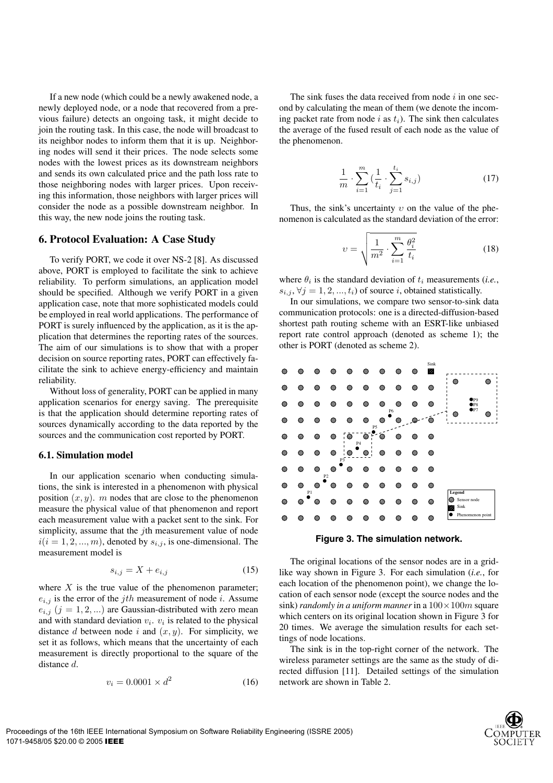If a new node (which could be a newly awakened node, a newly deployed node, or a node that recovered from a previous failure) detects an ongoing task, it might decide to join the routing task. In this case, the node will broadcast to its neighbor nodes to inform them that it is up. Neighboring nodes will send it their prices. The node selects some nodes with the lowest prices as its downstream neighbors and sends its own calculated price and the path loss rate to those neighboring nodes with larger prices. Upon receiving this information, those neighbors with larger prices will consider the node as a possible downstream neighbor. In this way, the new node joins the routing task.

#### **6. Protocol Evaluation: A Case Study**

To verify PORT, we code it over NS-2 [8]. As discussed above, PORT is employed to facilitate the sink to achieve reliability. To perform simulations, an application model should be specified. Although we verify PORT in a given application case, note that more sophisticated models could be employed in real world applications. The performance of PORT is surely influenced by the application, as it is the application that determines the reporting rates of the sources. The aim of our simulations is to show that with a proper decision on source reporting rates, PORT can effectively facilitate the sink to achieve energy-efficiency and maintain reliability.

Without loss of generality, PORT can be applied in many application scenarios for energy saving. The prerequisite is that the application should determine reporting rates of sources dynamically according to the data reported by the sources and the communication cost reported by PORT.

#### **6.1. Simulation model**

In our application scenario when conducting simulations, the sink is interested in a phenomenon with physical position  $(x, y)$ . m nodes that are close to the phenomenon measure the physical value of that phenomenon and report each measurement value with a packet sent to the sink. For simplicity, assume that the *j*th measurement value of node  $i(i = 1, 2, ..., m)$ , denoted by  $s_{i,j}$ , is one-dimensional. The measurement model is

$$
s_{i,j} = X + e_{i,j} \tag{15}
$$

where  $X$  is the true value of the phenomenon parameter;  $e_{i,j}$  is the error of the *jth* measurement of node *i*. Assume  $e_{i,j}$  ( $j = 1, 2, ...$ ) are Gaussian-distributed with zero mean and with standard deviation  $v_i$ .  $v_i$  is related to the physical distance d between node i and  $(x, y)$ . For simplicity, we set it as follows, which means that the uncertainty of each measurement is directly proportional to the square of the distance d.

$$
v_i = 0.0001 \times d^2 \tag{16}
$$

The sink fuses the data received from node  $i$  in one second by calculating the mean of them (we denote the incoming packet rate from node i as  $t_i$ ). The sink then calculates the average of the fused result of each node as the value of the phenomenon.

$$
\frac{1}{m} \cdot \sum_{i=1}^{m} \left( \frac{1}{t_i} \cdot \sum_{j=1}^{t_i} s_{i,j} \right) \tag{17}
$$

Thus, the sink's uncertainty  $v$  on the value of the phenomenon is calculated as the standard deviation of the error:

$$
v = \sqrt{\frac{1}{m^2} \cdot \sum_{i=1}^{m} \frac{\theta_i^2}{t_i}}
$$
 (18)

where  $\theta_i$  is the standard deviation of  $t_i$  measurements (*i.e.*,  $s_{i,j}, \forall j = 1, 2, ..., t_i$  of source i, obtained statistically.

In our simulations, we compare two sensor-to-sink data communication protocols: one is a directed-diffusion-based shortest path routing scheme with an ESRT-like unbiased report rate control approach (denoted as scheme 1); the other is PORT (denoted as scheme 2).

|   |    |         |                     |                       |                     |                     |                 |   | Sink |                                   |
|---|----|---------|---------------------|-----------------------|---------------------|---------------------|-----------------|---|------|-----------------------------------|
| o |    |         | œ                   | ▩                     | ∞                   | œ                   |                 | ◉ | D.   |                                   |
| ø | Ø. | o       | ۵                   | ۵                     | ▩                   | œ                   | œ               | ø | ◉    | œ                                 |
| ◉ | ▩  | ▩       | ۵                   | œ                     | ◎                   | ۵                   | ▩<br>${\rm P6}$ | ۵ | ۰    | P9<br>$_{\rm PS}$<br>$\bullet$ P7 |
| ◉ | œ  | œ       | œ                   | ø                     | ⊜                   | ◎<br>P <sub>5</sub> |                 |   |      | ø                                 |
| o | œ  |         | œ                   | г<br>$\ddot{\bullet}$ | ۵<br>P <sub>4</sub> |                     | ൈ               | ◎ | ◎    |                                   |
| ۵ | ᢁ  | œ       | ◎                   | œ<br>P3               | ◉                   | œ                   |                 | ۵ | ۰    |                                   |
| ø | ▩  | ۵       | ▩<br>P <sub>2</sub> | ۵                     | œ                   | a                   | œ               | ۵ | ۰    |                                   |
| e | ◉  | ◎<br>P1 | ۵                   | e                     | 0                   | ▩                   |                 | ◎ | ◉    | <b>Legend</b>                     |
| ◉ | œ  | œ       | Ø.                  | ø                     | ۵                   | Ø                   |                 | o | ◉    | Sensor node<br>œ<br>Sink          |
| ◎ | ▩  |         | ۵                   | ▩                     | ⋒                   | ۵                   |                 | ۵ | ۰    | Phenomenon point                  |
|   |    |         |                     |                       |                     |                     |                 |   |      |                                   |



The original locations of the sensor nodes are in a gridlike way shown in Figure 3. For each simulation (*i.e.*, for each location of the phenomenon point), we change the location of each sensor node (except the source nodes and the sink) *randomly in a uniform manner* in a  $100 \times 100m$  square which centers on its original location shown in Figure 3 for 20 times. We average the simulation results for each settings of node locations.

The sink is in the top-right corner of the network. The wireless parameter settings are the same as the study of directed diffusion [11]. Detailed settings of the simulation network are shown in Table 2.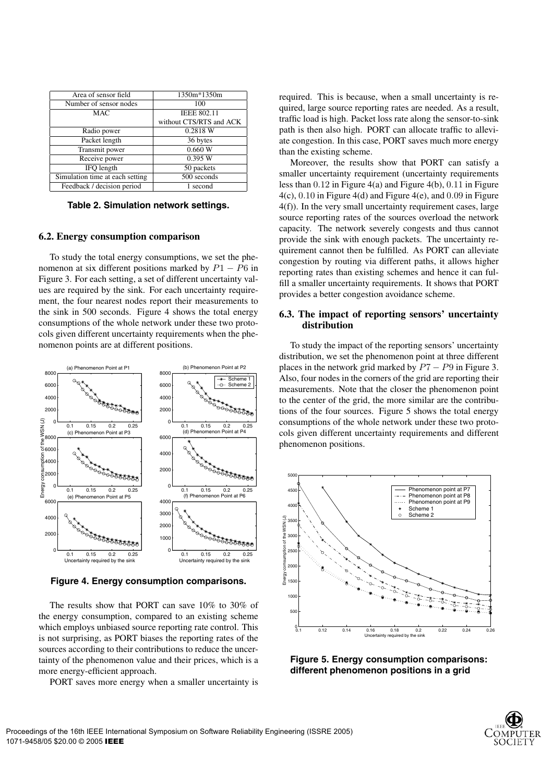| Area of sensor field            | 1350m*1350m             |
|---------------------------------|-------------------------|
| Number of sensor nodes          | 100                     |
| <b>MAC</b>                      | <b>IEEE 802.11</b>      |
|                                 | without CTS/RTS and ACK |
| Radio power                     | 0.2818 W                |
| Packet length                   | 36 bytes                |
| Transmit power                  | 0.660 W                 |
| Receive power                   | 0.395 W                 |
| IFO length                      | 50 packets              |
| Simulation time at each setting | 500 seconds             |
| Feedback / decision period      | 1 second                |

**Table 2. Simulation network settings.**

#### **6.2. Energy consumption comparison**

To study the total energy consumptions, we set the phenomenon at six different positions marked by  $P1 - P6$  in Figure 3. For each setting, a set of different uncertainty values are required by the sink. For each uncertainty requirement, the four nearest nodes report their measurements to the sink in 500 seconds. Figure 4 shows the total energy consumptions of the whole network under these two protocols given different uncertainty requirements when the phenomenon points are at different positions.



**Figure 4. Energy consumption comparisons.**

The results show that PORT can save 10% to 30% of the energy consumption, compared to an existing scheme which employs unbiased source reporting rate control. This is not surprising, as PORT biases the reporting rates of the sources according to their contributions to reduce the uncertainty of the phenomenon value and their prices, which is a more energy-efficient approach.

PORT saves more energy when a smaller uncertainty is

required. This is because, when a small uncertainty is required, large source reporting rates are needed. As a result, traffic load is high. Packet loss rate along the sensor-to-sink path is then also high. PORT can allocate traffic to alleviate congestion. In this case, PORT saves much more energy than the existing scheme.

Moreover, the results show that PORT can satisfy a smaller uncertainty requirement (uncertainty requirements less than 0.12 in Figure 4(a) and Figure 4(b), 0.11 in Figure 4(c), 0.10 in Figure 4(d) and Figure 4(e), and 0.09 in Figure 4(f)). In the very small uncertainty requirement cases, large source reporting rates of the sources overload the network capacity. The network severely congests and thus cannot provide the sink with enough packets. The uncertainty requirement cannot then be fulfilled. As PORT can alleviate congestion by routing via different paths, it allows higher reporting rates than existing schemes and hence it can fulfill a smaller uncertainty requirements. It shows that PORT provides a better congestion avoidance scheme.

### **6.3. The impact of reporting sensors' uncertainty distribution**

To study the impact of the reporting sensors' uncertainty distribution, we set the phenomenon point at three different places in the network grid marked by  $P7 - P9$  in Figure 3. Also, four nodes in the corners of the grid are reporting their measurements. Note that the closer the phenomenon point to the center of the grid, the more similar are the contributions of the four sources. Figure 5 shows the total energy consumptions of the whole network under these two protocols given different uncertainty requirements and different phenomenon positions.



**Figure 5. Energy consumption comparisons: different phenomenon positions in a grid**